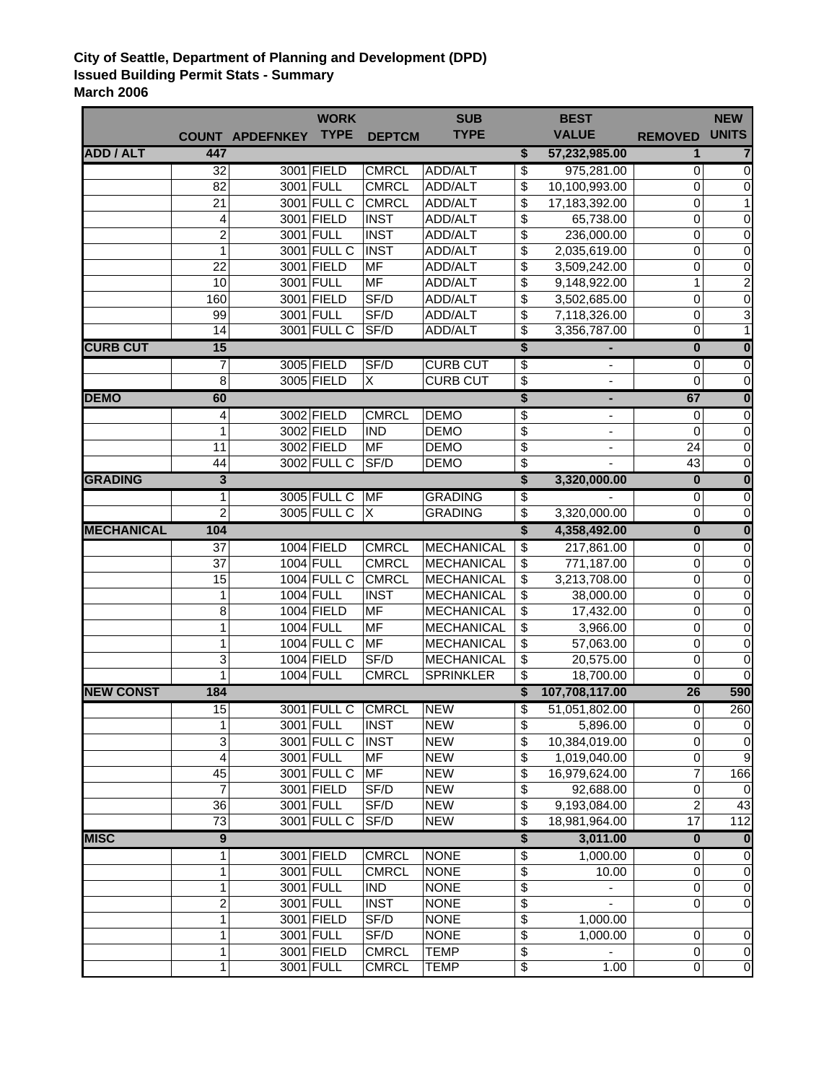## **City of Seattle, Department of Planning and Development (DPD) Issued Building Permit Stats - Summary March 2006**

|                   |                         |                        | <b>WORK</b>        |                | <b>SUB</b>        |    | <b>BEST</b>              |                         | <b>NEW</b>              |
|-------------------|-------------------------|------------------------|--------------------|----------------|-------------------|----|--------------------------|-------------------------|-------------------------|
|                   |                         | <b>COUNT APDEFNKEY</b> | <b>TYPE</b>        | <b>DEPTCM</b>  | <b>TYPE</b>       |    | <b>VALUE</b>             | <b>REMOVED</b>          | <b>UNITS</b>            |
| <b>ADD / ALT</b>  | 447                     |                        |                    |                |                   | \$ | 57,232,985.00            | $\mathbf{1}$            | 7                       |
|                   | $\overline{32}$         |                        | 3001 FIELD         | <b>CMRCL</b>   | <b>ADD/ALT</b>    | \$ | 975,281.00               | $\mathbf 0$             | 0                       |
|                   | 82                      |                        | 3001 FULL          | <b>CMRCL</b>   | ADD/ALT           | \$ | 10,100,993.00            | 0                       | 0                       |
|                   | 21                      |                        | 3001 FULL C        | <b>CMRCL</b>   | ADD/ALT           | \$ | 17,183,392.00            | 0                       | 1                       |
|                   | $\overline{4}$          |                        | 3001 FIELD         | <b>INST</b>    | ADD/ALT           | \$ | 65,738.00                | $\pmb{0}$               | $\mathbf 0$             |
|                   | $\overline{c}$          |                        | 3001 FULL          | <b>INST</b>    | ADD/ALT           | \$ | 236,000.00               | $\pmb{0}$               | 0                       |
|                   | 1                       |                        | 3001 FULL C        | <b>INST</b>    | ADD/ALT           | \$ | 2,035,619.00             | $\pmb{0}$               | 0                       |
|                   | 22                      |                        | 3001 FIELD         | <b>MF</b>      | ADD/ALT           | \$ | 3,509,242.00             | $\pmb{0}$               | $\pmb{0}$               |
|                   | 10                      |                        | 3001 FULL          | MF             | ADD/ALT           | \$ | 9,148,922.00             | $\mathbf{1}$            | $\boldsymbol{2}$        |
|                   | 160                     |                        | 3001 FIELD         | SF/D           | ADD/ALT           | \$ | 3,502,685.00             | $\mathbf 0$             | $\boldsymbol{0}$        |
|                   | 99                      |                        | 3001 FULL          | SF/D           | ADD/ALT           | \$ | 7,118,326.00             | $\pmb{0}$               | 3                       |
|                   | 14                      |                        | 3001 FULL C        | SF/D           | ADD/ALT           | \$ | 3,356,787.00             | $\overline{0}$          | $\mathbf{1}$            |
| <b>CURB CUT</b>   | 15                      |                        |                    |                |                   | \$ |                          | $\overline{\mathbf{0}}$ | $\overline{\mathbf{0}}$ |
|                   | 7                       |                        | 3005 FIELD         | SF/D           | <b>CURB CUT</b>   | \$ | ۰                        | $\mathbf 0$             | $\overline{0}$          |
|                   | 8                       |                        | 3005 FIELD         | $\overline{X}$ | <b>CURB CUT</b>   | \$ |                          | $\mathbf 0$             | $\boldsymbol{0}$        |
| <b>DEMO</b>       | 60                      |                        |                    |                |                   | \$ | ٠                        | 67                      | $\overline{\mathbf{0}}$ |
|                   | 4                       |                        | 3002 FIELD         | <b>CMRCL</b>   | <b>DEMO</b>       | \$ | $\overline{\phantom{a}}$ | 0                       | 0                       |
|                   | 1                       |                        | 3002 FIELD         | <b>IND</b>     | <b>DEMO</b>       | \$ |                          | $\mathbf 0$             | $\mathbf 0$             |
|                   | 11                      |                        | 3002 FIELD         | MF             | <b>DEMO</b>       | \$ |                          | 24                      | $\mathbf 0$             |
|                   | 44                      |                        | 3002 FULL C        | SF/D           | <b>DEMO</b>       | \$ |                          | 43                      | $\mathbf 0$             |
| <b>GRADING</b>    | 3                       |                        |                    |                |                   | \$ | 3,320,000.00             | $\overline{\mathbf{0}}$ | $\overline{\mathbf{0}}$ |
|                   | 1                       |                        | 3005 FULL C        | <b>MF</b>      | <b>GRADING</b>    | \$ |                          | $\mathbf 0$             | 0                       |
|                   | 2                       |                        | 3005 FULL C        | X              | <b>GRADING</b>    | \$ | 3,320,000.00             | 0                       | $\mathbf 0$             |
| <b>MECHANICAL</b> | 104                     |                        |                    |                |                   | \$ | 4,358,492.00             | $\pmb{0}$               | $\overline{\mathbf{0}}$ |
|                   | $\overline{37}$         |                        | 1004 FIELD         | <b>CMRCL</b>   | MECHANICAL        | \$ | 217,861.00               | $\overline{0}$          | $\overline{\mathsf{o}}$ |
|                   | 37                      |                        | 1004 FULL          | <b>CMRCL</b>   | MECHANICAL        | \$ | 771,187.00               | $\pmb{0}$               | $\pmb{0}$               |
|                   | 15                      |                        | 1004 FULL C        | <b>CMRCL</b>   | MECHANICAL        | \$ | 3,213,708.00             | $\pmb{0}$               | 0                       |
|                   | 1                       |                        | 1004 FULL          | <b>INST</b>    | <b>MECHANICAL</b> | \$ | 38,000.00                | $\pmb{0}$               | $\pmb{0}$               |
|                   | 8                       |                        | 1004 FIELD         | MF             | <b>MECHANICAL</b> | \$ | 17,432.00                | 0                       | $\mathbf 0$             |
|                   | 1                       |                        | 1004 FULL          | MF             | <b>MECHANICAL</b> | \$ | 3,966.00                 | $\pmb{0}$               | 0                       |
|                   | 1                       |                        | <b>1004 FULL C</b> | <b>MF</b>      | <b>MECHANICAL</b> | \$ | 57,063.00                | $\mathbf 0$             | $\mathbf 0$             |
|                   | 3                       |                        | 1004 FIELD         | SF/D           | <b>MECHANICAL</b> | \$ | 20,575.00                | $\mathbf 0$             | $\mathbf 0$             |
|                   | 1                       |                        | 1004 FULL          | <b>CMRCL</b>   | <b>SPRINKLER</b>  | \$ | 18,700.00                | $\overline{0}$          | $\mathbf 0$             |
| <b>NEW CONST</b>  | 184                     |                        |                    |                |                   | \$ | 107,708,117.00           | 26                      | 590                     |
|                   | 15                      |                        | 3001 FULL C        | <b>CMRCL</b>   | <b>NEW</b>        | \$ | 51,051,802.00            | $\mathbf 0$             | 260                     |
|                   | 1                       |                        | 3001 FULL          | <b>INST</b>    | <b>NEW</b>        | Φ  | 5,896.00                 | 0                       | 0                       |
|                   | 3                       |                        | 3001 FULL C        | <b>INST</b>    | <b>NEW</b>        | \$ | 10,384,019.00            | $\mathbf 0$             | $\boldsymbol{0}$        |
|                   | 4                       |                        | 3001 FULL          | MF             | <b>NEW</b>        | \$ | 1,019,040.00             | $\pmb{0}$               | 9                       |
|                   | 45                      |                        | 3001 FULL C        | MF             | <b>NEW</b>        | \$ | 16,979,624.00            | $\overline{7}$          | 166                     |
|                   | $\overline{7}$          |                        | 3001 FIELD         | SF/D           | <b>NEW</b>        | \$ | 92,688.00                | $\mathsf 0$             | $\mathbf 0$             |
|                   | 36                      |                        | 3001 FULL          | SF/D           | <b>NEW</b>        | \$ | 9,193,084.00             | $\overline{2}$          | 43                      |
|                   | $\overline{73}$         |                        | 3001 FULL C        | SF/D           | <b>NEW</b>        | \$ | 18,981,964.00            | 17                      | 112                     |
| <b>MISC</b>       | $\overline{9}$          |                        |                    |                |                   | \$ | 3,011.00                 | $\overline{\mathbf{0}}$ | $\bf{0}$                |
|                   | 1                       |                        | 3001 FIELD         | <b>CMRCL</b>   | <b>NONE</b>       | \$ | 1,000.00                 | $\mathbf 0$             | $\mathbf 0$             |
|                   | 1                       |                        | 3001 FULL          | <b>CMRCL</b>   | <b>NONE</b>       | \$ | 10.00                    | $\mathbf 0$             | $\pmb{0}$               |
|                   | 1                       |                        | 3001 FULL          | <b>IND</b>     | <b>NONE</b>       | \$ |                          | $\mathbf 0$             | $\pmb{0}$               |
|                   | $\overline{\mathbf{c}}$ |                        | 3001 FULL          | <b>INST</b>    | <b>NONE</b>       | \$ |                          | $\mathbf 0$             | $\mathbf 0$             |
|                   | 1                       |                        | 3001 FIELD         | SF/D           | <b>NONE</b>       | \$ | 1,000.00                 |                         |                         |
|                   | 1                       |                        | 3001 FULL          | SF/D           | <b>NONE</b>       | \$ | 1,000.00                 | 0                       | 0                       |
|                   | 1                       |                        | 3001 FIELD         | <b>CMRCL</b>   | <b>TEMP</b>       | \$ |                          | $\mathbf 0$             | $\pmb{0}$               |
|                   | 1                       |                        | 3001 FULL          | <b>CMRCL</b>   | <b>TEMP</b>       | \$ | 1.00                     | $\mathbf 0$             | $\overline{0}$          |